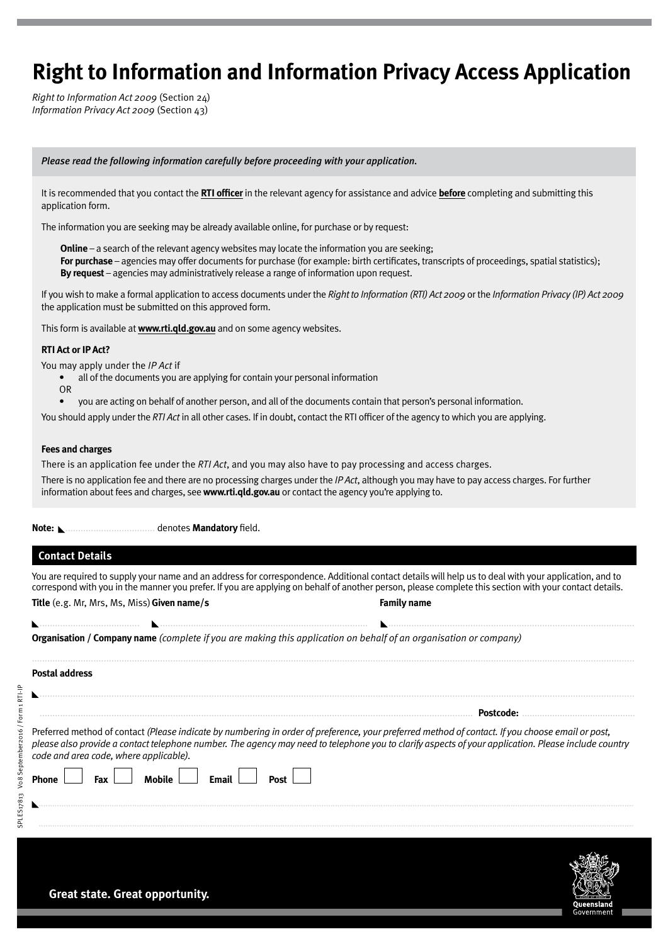# **Right to Information and Information Privacy Access Application**

*Right to Information Act 2009* (Section 24) *Information Privacy Act 2009* (Section 43)

#### *Please read the following information carefully before proceeding with your application.*

It is recommended that you contact the **RTI officer** in the relevant agency for assistance and advice **before** completing and submitting this application form.

The information you are seeking may be already available online, for purchase or by request:

**Online** – a search of the relevant agency websites may locate the information you are seeking; **For purchase** – agencies may offer documents for purchase (for example: birth certificates, transcripts of proceedings, spatial statistics); **By request** – agencies may administratively release a range of information upon request.

If you wish to make a formal application to access documents under the *Right to Information (RTI) Act 2009* or the *Information Privacy (IP) Act 2009* the application must be submitted on this approved form.

This form is available at **www.rti.qld.gov.au** and on some agency websites.

#### **RTI Act or IP Act?**

You may apply under the *IP Act* if

- all of the documents you are applying for contain your personal information
- OR
- you are acting on behalf of another person, and all of the documents contain that person's personal information.

You should apply under the *RTI Act* in all other cases. If in doubt, contact the RTI officer of the agency to which you are applying.

#### **Fees and charges**

There is an application fee under the *RTI Act*, and you may also have to pay processing and access charges. There is no application fee and there are no processing charges under the *IP Act*, although you may have to pay access charges. For further information about fees and charges, see **www.rti.qld.gov.au** or contact the agency you're applying to.

**Note:** ................................... denotes **Mandatory** field.

## **Contact Details**

SPLES17813 V08 September2016 / Form 1 RTI-IP

SPLES17813 Vo8 September2016 / Form 1 RTI-IP

You are required to supply your name and an address for correspondence. Additional contact details will help us to deal with your application, and to correspond with you in the manner you prefer. If you are applying on behalf of another person, please complete this section with your contact details. **Title** (e.g. Mr, Mrs, Ms, Miss)**Given name/s Family name**

....................................... ................................................................................. ................................................................................................

|  |  |  |  |  | <b>Organisation / Company name</b> (complete if you are making this application on behalf of an organisation or company) |
|--|--|--|--|--|--------------------------------------------------------------------------------------------------------------------------|
|  |  |  |  |  |                                                                                                                          |
|  |  |  |  |  |                                                                                                                          |

| Preferred method of contact (Please indicate by numbering in order of preference, your preferred method of contact. If you choose email or post,<br>please also provide a contact telephone number. The agency may need to telephone you to clarify aspects of your application. Please include country<br>code and area code, where applicable). |  |
|---------------------------------------------------------------------------------------------------------------------------------------------------------------------------------------------------------------------------------------------------------------------------------------------------------------------------------------------------|--|
| Fax                                                                                                                                                                                                                                                                                                                                               |  |
|                                                                                                                                                                                                                                                                                                                                                   |  |

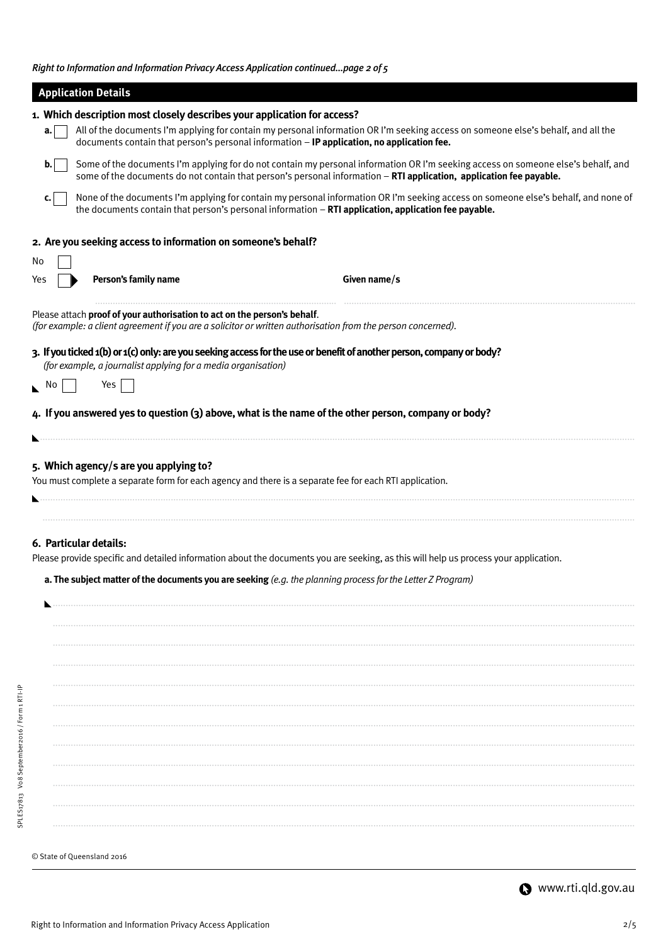*Right to Information and Information Privacy Access Application continued...page 2 of 5*

|                        | <b>Application Details</b>                                                                                                                                                                                                                                                    |  |  |  |  |  |  |
|------------------------|-------------------------------------------------------------------------------------------------------------------------------------------------------------------------------------------------------------------------------------------------------------------------------|--|--|--|--|--|--|
|                        | 1. Which description most closely describes your application for access?                                                                                                                                                                                                      |  |  |  |  |  |  |
| a.                     | All of the documents I'm applying for contain my personal information OR I'm seeking access on someone else's behalf, and all the<br>documents contain that person's personal information - IP application, no application fee.                                               |  |  |  |  |  |  |
| $\mathbf{b}$ .         | Some of the documents I'm applying for do not contain my personal information OR I'm seeking access on someone else's behalf, and<br>some of the documents do not contain that person's personal information - RTI application, application fee payable.                      |  |  |  |  |  |  |
| c.                     | None of the documents I'm applying for contain my personal information OR I'm seeking access on someone else's behalf, and none of<br>the documents contain that person's personal information - RTI application, application fee payable.                                    |  |  |  |  |  |  |
|                        | 2. Are you seeking access to information on someone's behalf?                                                                                                                                                                                                                 |  |  |  |  |  |  |
| No                     |                                                                                                                                                                                                                                                                               |  |  |  |  |  |  |
| Yes                    | Person's family name<br>Given name/s                                                                                                                                                                                                                                          |  |  |  |  |  |  |
|                        | Please attach proof of your authorisation to act on the person's behalf.<br>(for example: a client agreement if you are a solicitor or written authorisation from the person concerned).                                                                                      |  |  |  |  |  |  |
|                        | 3. If you ticked 1(b) or 1(c) only: are you seeking access for the use or benefit of another person, company or body?<br>(for example, a journalist applying for a media organisation)                                                                                        |  |  |  |  |  |  |
| $\mathbb{N}^{\bullet}$ | Yes                                                                                                                                                                                                                                                                           |  |  |  |  |  |  |
|                        | 4. If you answered yes to question (3) above, what is the name of the other person, company or body?                                                                                                                                                                          |  |  |  |  |  |  |
|                        |                                                                                                                                                                                                                                                                               |  |  |  |  |  |  |
|                        | 5. Which agency/s are you applying to?<br>You must complete a separate form for each agency and there is a separate fee for each RTI application.                                                                                                                             |  |  |  |  |  |  |
|                        |                                                                                                                                                                                                                                                                               |  |  |  |  |  |  |
|                        | 6. Particular details:<br>Please provide specific and detailed information about the documents you are seeking, as this will help us process your application.<br>a. The subject matter of the documents you are seeking (e.g. the planning process for the Letter Z Program) |  |  |  |  |  |  |
|                        |                                                                                                                                                                                                                                                                               |  |  |  |  |  |  |
|                        |                                                                                                                                                                                                                                                                               |  |  |  |  |  |  |
|                        |                                                                                                                                                                                                                                                                               |  |  |  |  |  |  |
|                        |                                                                                                                                                                                                                                                                               |  |  |  |  |  |  |
|                        |                                                                                                                                                                                                                                                                               |  |  |  |  |  |  |
|                        |                                                                                                                                                                                                                                                                               |  |  |  |  |  |  |
|                        |                                                                                                                                                                                                                                                                               |  |  |  |  |  |  |
|                        |                                                                                                                                                                                                                                                                               |  |  |  |  |  |  |
|                        |                                                                                                                                                                                                                                                                               |  |  |  |  |  |  |
|                        |                                                                                                                                                                                                                                                                               |  |  |  |  |  |  |
|                        |                                                                                                                                                                                                                                                                               |  |  |  |  |  |  |
|                        | © State of Queensland 2016                                                                                                                                                                                                                                                    |  |  |  |  |  |  |
|                        |                                                                                                                                                                                                                                                                               |  |  |  |  |  |  |

**Www.rti.qld.gov.au** 

SPLES17813 V08 September2016 / Form 1 RTI-IP

SPLES17813 Vo8 September2016 / Form 1 RTI-IP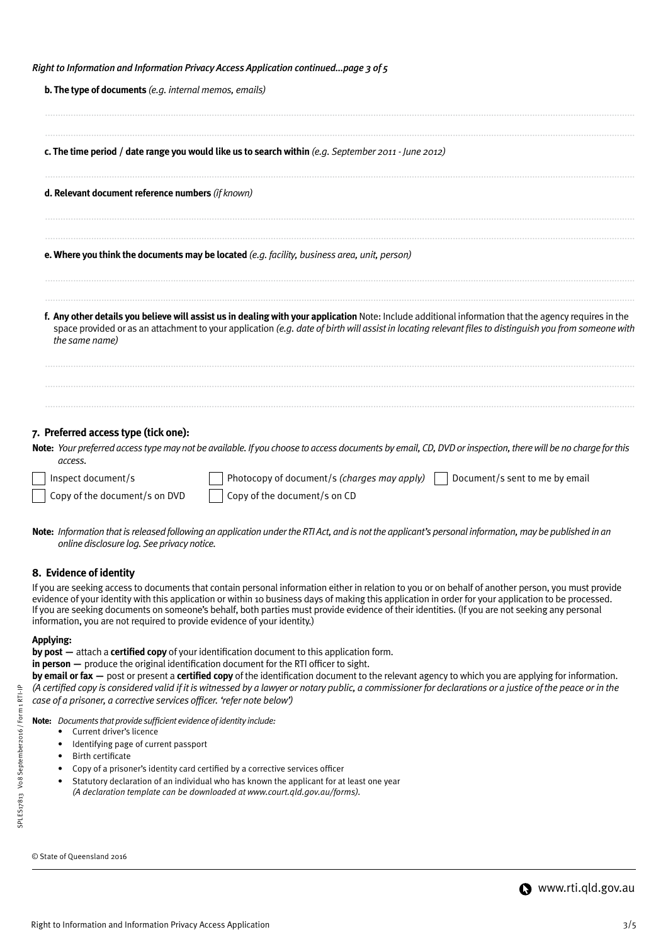|  |  | Right to Information and Information Privacy Access Application continuedpage 3 of 5 |
|--|--|--------------------------------------------------------------------------------------|
|  |  |                                                                                      |

| <b>b. The type of documents</b> (e.g. internal memos, emails)                                                                                                                                                                                                                                                                     |
|-----------------------------------------------------------------------------------------------------------------------------------------------------------------------------------------------------------------------------------------------------------------------------------------------------------------------------------|
| c. The time period / date range you would like us to search within (e.g. September 2011 - June 2012)                                                                                                                                                                                                                              |
| d. Relevant document reference numbers (if known)                                                                                                                                                                                                                                                                                 |
| <b>e. Where you think the documents may be located</b> (e.g. facility, business area, unit, person)                                                                                                                                                                                                                               |
| f. Any other details you believe will assist us in dealing with your application Note: Include additional information that the agency requires in the<br>space provided or as an attachment to your application (e.g. date of birth will assist in locating relevant files to distinguish you from someone with<br>the same name) |
| 7. Preferred access type (tick one):<br>Note: Your preferred access type may not be available. If you choose to access documents by email, CD, DVD or inspection, there will be no charge for this<br>access.                                                                                                                     |
| Inspect document/s<br>Photocopy of document/s (charges may apply) $\vert$<br>Document/s sent to me by email                                                                                                                                                                                                                       |
| Copy of the document/s on CD<br>Copy of the document/s on DVD                                                                                                                                                                                                                                                                     |

**Note:** *Information that is released following an application under the RTI Act, and is not the applicant's personal information, may be published in an online disclosure log. See privacy notice.*

## **8. Evidence of identity**

If you are seeking access to documents that contain personal information either in relation to you or on behalf of another person, you must provide evidence of your identity with this application or within 10 business days of making this application in order for your application to be processed. If you are seeking documents on someone's behalf, both parties must provide evidence of their identities. (If you are not seeking any personal information, you are not required to provide evidence of your identity.)

#### **Applying:**

**by post —** attach a **certified copy** of your identification document to this application form.

**in person —** produce the original identification document for the RTI officer to sight.

**by email or fax —** post or present a **certified copy** of the identification document to the relevant agency to which you are applying for information. *(A certified copy is considered valid if it is witnessed by a lawyer or notary public, a commissioner for declarations or a justice of the peace or in the case of a prisoner, a corrective services officer. 'refer note below')*

**Note:** *Documents that provide sufficient evidence of identity include:*

- Current driver's licence
- Identifying page of current passport
- Birth certificate
- Copy of a prisoner's identity card certified by a corrective services officer
- Statutory declaration of an individual who has known the applicant for at least one year *(A declaration template can be downloaded at www.court.qld.gov.au/forms).*

```
© State of Queensland 2016
```
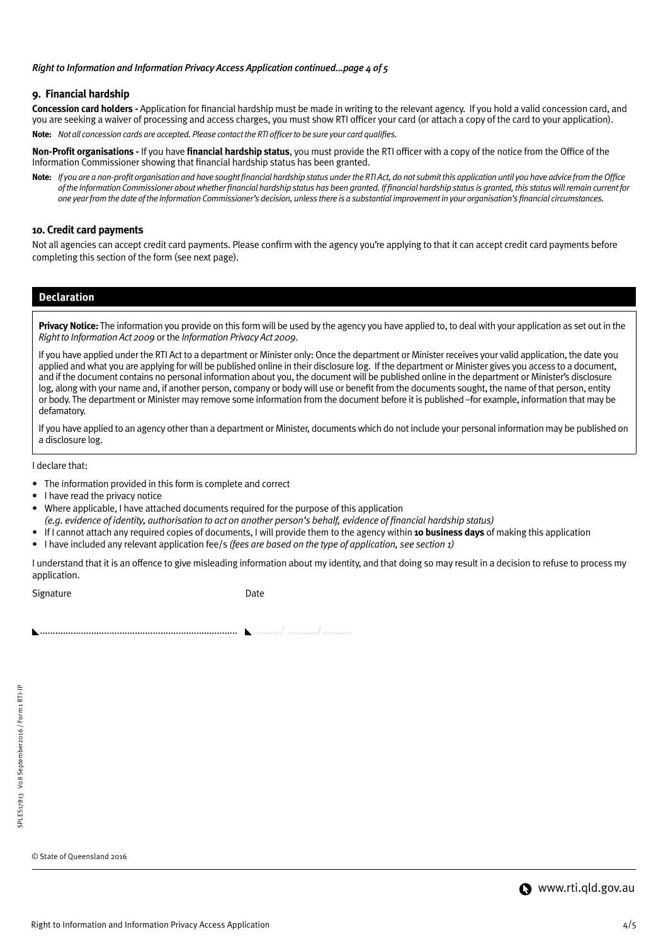#### *Right to Information and Information Privacy Access Application continued...page 4 of 5*

## **9. Financial hardship**

**Concession card holders -** Application for financial hardship must be made in writing to the relevant agency. If you hold a valid concession card, and you are seeking a waiver of processing and access charges, you must show RTI officer your card (or attach a copy of the card to your application). **Note:** *Not all concession cards are accepted. Please contact the RTI officer to be sure your card qualifies.*

**Non-Profit organisations -** If you have **financial hardship status**, you must provide the RTI officer with a copy of the notice from the Office of the Information Commissioner showing that financial hardship status has been granted.

**Note:** *If you are a non-profit organisation and have sought financial hardship status under the RTI Act, do not submit this application until you have advice from the Office of the Information Commissioner about whether financial hardship status has been granted. If financial hardship status is granted, this status will remain current for one year from the date of the Information Commissioner's decision, unless there is a substantial improvement in your organisation's financial circumstances.*

#### **10. Credit card payments**

Not all agencies can accept credit card payments. Please confirm with the agency you're applying to that it can accept credit card payments before completing this section of the form (see next page).

## **Declaration**

**Privacy Notice:** The information you provide on this form will be used by the agency you have applied to, to deal with your application as set out in the *Right to Information Act 2009* or the *Information Privacy Act 2009*.

If you have applied under the RTI Act to a department or Minister only: Once the department or Minister receives your valid application, the date you applied and what you are applying for will be published online in their disclosure log. If the department or Minister gives you access to a document, and if the document contains no personal information about you, the document will be published online in the department or Minister's disclosure log, along with your name and, if another person, company or body will use or benefit from the documents sought, the name of that person, entity or body. The department or Minister may remove some information from the document before it is published –for example, information that may be defamatory.

If you have applied to an agency other than a department or Minister, documents which do not include your personal information may be published on a disclosure log.

I declare that:

- The information provided in this form is complete and correct
- I have read the privacy notice
- Where applicable, I have attached documents required for the purpose of this application
- *(e.g. evidence of identity, authorisation to act on another person's behalf, evidence of financial hardship status)*
- If I cannot attach any required copies of documents, I will provide them to the agency within **10 business days** of making this application
- I have included any relevant application fee/s *(fees are based on the type of application, see section 1)*

I understand that it is an offence to give misleading information about my identity, and that doing so may result in a decision to refuse to process my application.

Signature Date

............................................................................. .......... / .........../............

© State of Queensland 2016